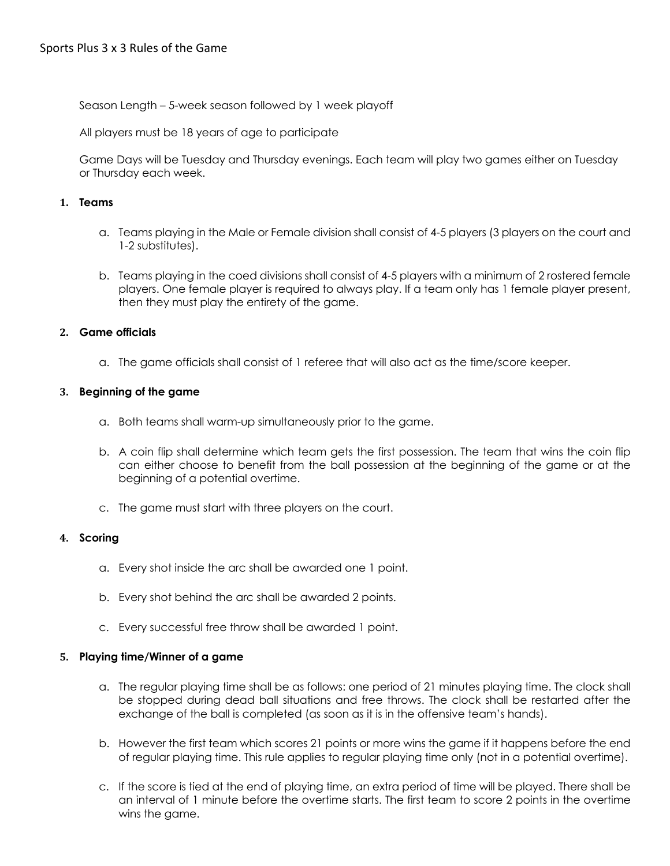Season Length – 5-week season followed by 1 week playoff

All players must be 18 years of age to participate

Game Days will be Tuesday and Thursday evenings. Each team will play two games either on Tuesday or Thursday each week.

### **1. Teams**

- a. Teams playing in the Male or Female division shall consist of 4-5 players (3 players on the court and 1-2 substitutes).
- b. Teams playing in the coed divisions shall consist of 4-5 players with a minimum of 2 rostered female players. One female player is required to always play. If a team only has 1 female player present, then they must play the entirety of the game.

# **2. Game officials**

a. The game officials shall consist of 1 referee that will also act as the time/score keeper.

### **3. Beginning of the game**

- a. Both teams shall warm-up simultaneously prior to the game.
- b. A coin flip shall determine which team gets the first possession. The team that wins the coin flip can either choose to benefit from the ball possession at the beginning of the game or at the beginning of a potential overtime.
- c. The game must start with three players on the court.

### **4. Scoring**

- a. Every shot inside the arc shall be awarded one 1 point.
- b. Every shot behind the arc shall be awarded 2 points.
- c. Every successful free throw shall be awarded 1 point.

### **5. Playing time/Winner of a game**

- a. The regular playing time shall be as follows: one period of 21 minutes playing time. The clock shall be stopped during dead ball situations and free throws. The clock shall be restarted after the exchange of the ball is completed (as soon as it is in the offensive team's hands).
- b. However the first team which scores 21 points or more wins the game if it happens before the end of regular playing time. This rule applies to regular playing time only (not in a potential overtime).
- c. If the score is tied at the end of playing time, an extra period of time will be played. There shall be an interval of 1 minute before the overtime starts. The first team to score 2 points in the overtime wins the game.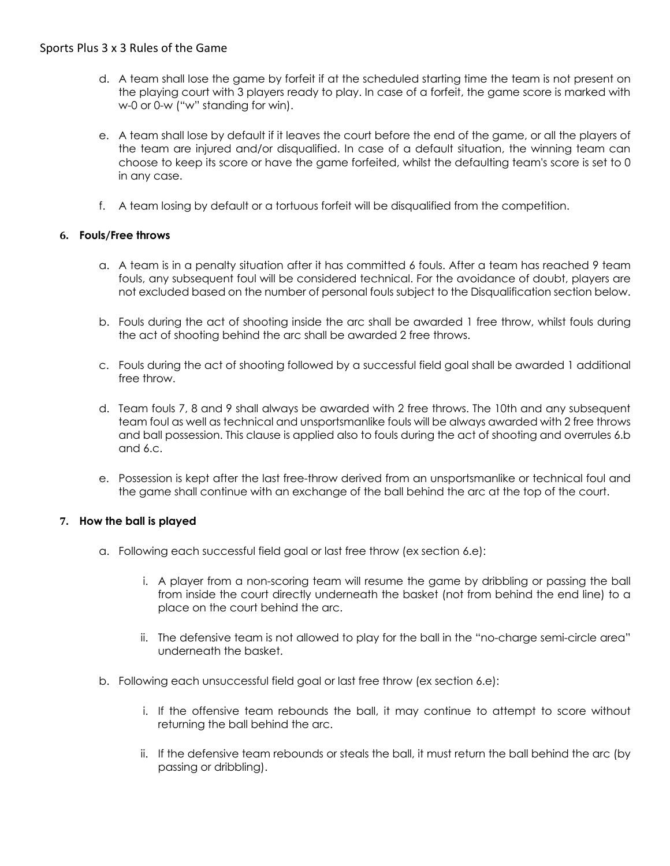- d. A team shall lose the game by forfeit if at the scheduled starting time the team is not present on the playing court with 3 players ready to play. In case of a forfeit, the game score is marked with w-0 or 0-w ("w" standing for win).
- e. A team shall lose by default if it leaves the court before the end of the game, or all the players of the team are injured and/or disqualified. In case of a default situation, the winning team can choose to keep its score or have the game forfeited, whilst the defaulting team's score is set to 0 in any case.
- f. A team losing by default or a tortuous forfeit will be disqualified from the competition.

# **6. Fouls/Free throws**

- a. A team is in a penalty situation after it has committed 6 fouls. After a team has reached 9 team fouls, any subsequent foul will be considered technical. For the avoidance of doubt, players are not excluded based on the number of personal fouls subject to the Disqualification section below.
- b. Fouls during the act of shooting inside the arc shall be awarded 1 free throw, whilst fouls during the act of shooting behind the arc shall be awarded 2 free throws.
- c. Fouls during the act of shooting followed by a successful field goal shall be awarded 1 additional free throw.
- d. Team fouls 7, 8 and 9 shall always be awarded with 2 free throws. The 10th and any subsequent team foul as well as technical and unsportsmanlike fouls will be always awarded with 2 free throws and ball possession. This clause is applied also to fouls during the act of shooting and overrules 6.b and 6.c.
- e. Possession is kept after the last free-throw derived from an unsportsmanlike or technical foul and the game shall continue with an exchange of the ball behind the arc at the top of the court.

### **7. How the ball is played**

- a. Following each successful field goal or last free throw (ex section 6.e):
	- i. A player from a non-scoring team will resume the game by dribbling or passing the ball from inside the court directly underneath the basket (not from behind the end line) to a place on the court behind the arc.
	- ii. The defensive team is not allowed to play for the ball in the "no-charge semi-circle area" underneath the basket.
- b. Following each unsuccessful field goal or last free throw (ex section 6.e):
	- i. If the offensive team rebounds the ball, it may continue to attempt to score without returning the ball behind the arc.
	- ii. If the defensive team rebounds or steals the ball, it must return the ball behind the arc (by passing or dribbling).